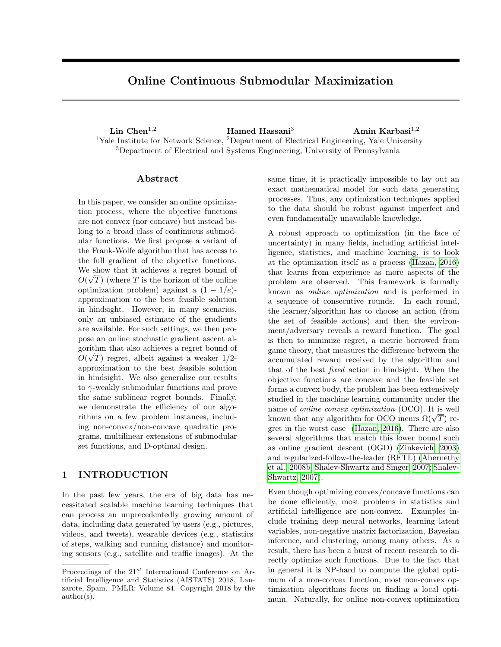# Online Continuous Submodular Maximization

Lin Chen<sup>1,2</sup> Hamed Hassani<sup>3</sup> Amin Karbasi<sup>1,2</sup> <sup>1</sup>Yale Institute for Network Science, <sup>2</sup>Department of Electrical Engineering, Yale University <sup>3</sup>Department of Electrical and Systems Engineering, University of Pennsylvania

#### Abstract

In this paper, we consider an online optimization process, where the objective functions are not convex (nor concave) but instead belong to a broad class of continuous submodular functions. We first propose a variant of the Frank-Wolfe algorithm that has access to the full gradient of the objective functions. We show that it achieves a regret bound of  $O(\sqrt{T})$  (where T is the horizon of the online optimization problem) against a  $(1 - 1/e)$ approximation to the best feasible solution in hindsight. However, in many scenarios, only an unbiased estimate of the gradients are available. For such settings, we then propose an online stochastic gradient ascent algorithm that also achieves a regret bound of  $O(\sqrt{T})$  regret, albeit against a weaker 1/2approximation to the best feasible solution in hindsight. We also generalize our results to γ-weakly submodular functions and prove the same sublinear regret bounds. Finally, we demonstrate the efficiency of our algorithms on a few problem instances, including non-convex/non-concave quadratic programs, multilinear extensions of submodular set functions, and D-optimal design.

## 1 INTRODUCTION

In the past few years, the era of big data has necessitated scalable machine learning techniques that can process an unprecedentedly growing amount of data, including data generated by users (e.g., pictures, videos, and tweets), wearable devices (e.g., statistics of steps, walking and running distance) and monitoring sensors (e.g., satellite and traffic images). At the same time, it is practically impossible to lay out an exact mathematical model for such data generating processes. Thus, any optimization techniques applied to the data should be robust against imperfect and even fundamentally unavailable knowledge.

A robust approach to optimization (in the face of uncertainty) in many fields, including artificial intelligence, statistics, and machine learning, is to look at the optimization itself as a process [\(Hazan, 2016\)](#page-8-0) that learns from experience as more aspects of the problem are observed. This framework is formally known as online optimization and is performed in a sequence of consecutive rounds. In each round, the learner/algorithm has to choose an action (from the set of feasible actions) and then the environment/adversary reveals a reward function. The goal is then to minimize regret, a metric borrowed from game theory, that measures the difference between the accumulated reward received by the algorithm and that of the best fixed action in hindsight. When the objective functions are concave and the feasible set forms a convex body, the problem has been extensively studied in the machine learning community under the name of online convex optimization (OCO). It is well name or *onine convex optimization* (OCO). It is well<br>known that any algorithm for OCO incurs  $\Omega(\sqrt{T})$  regret in the worst case [\(Hazan, 2016\)](#page-8-0). There are also several algorithms that match this lower bound such as online gradient descent (OGD) [\(Zinkevich, 2003\)](#page-9-0) and regularized-follow-the-leader (RFTL) [\(Abernethy](#page-8-1) [et al., 2008b;](#page-8-1) [Shalev-Shwartz and Singer, 2007;](#page-9-1) [Shalev-](#page-9-2)[Shwartz, 2007\)](#page-9-2).

Even though optimizing convex/concave functions can be done efficiently, most problems in statistics and artificial intelligence are non-convex. Examples include training deep neural networks, learning latent variables, non-negative matrix factorization, Bayesian inference, and clustering, among many others. As a result, there has been a burst of recent research to directly optimize such functions. Due to the fact that in general it is NP-hard to compute the global optimum of a non-convex function, most non-convex optimization algorithms focus on finding a local optimum. Naturally, for online non-convex optimization

Proceedings of the  $21^{st}$  International Conference on Artificial Intelligence and Statistics (AISTATS) 2018, Lanzarote, Spain. PMLR: Volume 84. Copyright 2018 by the author(s).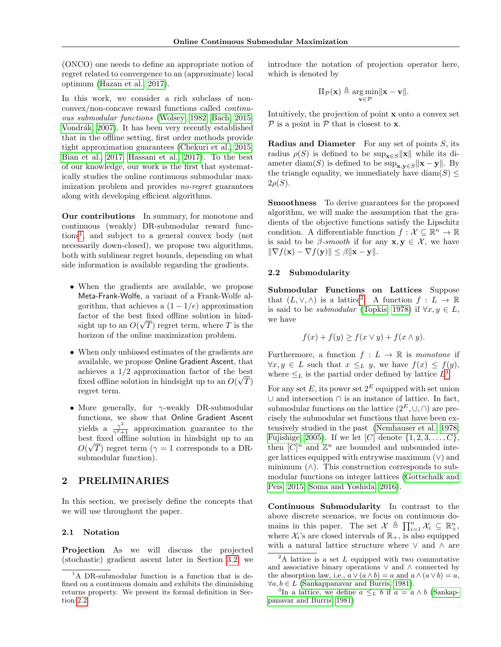(ONCO) one needs to define an appropriate notion of regret related to convergence to an (approximate) local optimum [\(Hazan et al., 2017\)](#page-8-2).

In this work, we consider a rich subclass of nonconvex/non-concave reward functions called continuous submodular functions [\(Wolsey, 1982;](#page-9-3) [Bach, 2015;](#page-8-3) Vondrák, 2007). It has been very recently established that in the offline setting, first order methods provide tight approximation guarantees [\(Chekuri et al., 2015;](#page-8-4) [Bian et al., 2017;](#page-8-5) [Hassani et al., 2017\)](#page-8-6). To the best of our knowledge, our work is the first that systematically studies the online continuous submodular maximization problem and provides *no-regret* guarantees along with developing efficient algorithms.

Our contributions In summary, for monotone and continuous (weakly) DR-submodular reward functions[1](#page-1-0) , and subject to a general convex body (not necessarily down-closed), we propose two algorithms, both with sublinear regret bounds, depending on what side information is available regarding the gradients.

- When the gradients are available, we propose Meta-Frank-Wolfe, a variant of a Frank-Wolfe algorithm, that achieves a  $(1 - 1/e)$  approximation factor of the best fixed offline solution in hindsight up to an  $O(\sqrt{T})$  regret term, where T is the horizon of the online maximization problem.
- When only unbiased estimates of the gradients are available, we propose Online Gradient Ascent, that achieves a 1/2 approximation factor of the best fixed offline solution in hindsight up to an  $O(\sqrt{T})$ regret term.
- More generally, for  $\gamma$ -weakly DR-submodular functions, we show that Online Gradient Ascent yields a  $\frac{\gamma^2}{\gamma^2+1}$  approximation guarantee to the best fixed offline solution in hindsight up to an  $O(\sqrt{T})$  regret term ( $\gamma = 1$  corresponds to a DRsubmodular function).

## 2 PRELIMINARIES

In this section, we precisely define the concepts that we will use throughout the paper.

#### 2.1 Notation

Projection As we will discuss the projected (stochastic) gradient ascent later in Section [3.2,](#page-4-0) we introduce the notation of projection operator here, which is denoted by

$$
\Pi_{\mathcal{P}}(\mathbf{x}) \triangleq \underset{\mathbf{v} \in \mathcal{P}}{\arg \min} ||\mathbf{x} - \mathbf{v}||.
$$

Intuitively, the projection of point x onto a convex set  $\mathcal P$  is a point in  $\mathcal P$  that is closest to **x**.

**Radius and Diameter** For any set of points  $S$ , its radius  $\rho(S)$  is defined to be sup<sub>x∈S</sub> x<sup>k</sup> while its diameter diam(S) is defined to be  $\sup_{\mathbf{x},\mathbf{y}\in S} \|\mathbf{x}-\mathbf{y}\|$ . By the triangle equality, we immediately have  $\text{diam}(S) \leq$  $2\rho(S)$ .

Smoothness To derive guarantees for the proposed algorithm, we will make the assumption that the gradients of the objective functions satisfy the Lipschitz condition. A differentiable function  $f: \mathcal{X} \subseteq \mathbb{R}^n \to \mathbb{R}$ is said to be  $\beta$ -smooth if for any  $\mathbf{x}, \mathbf{y} \in \mathcal{X}$ , we have  $\|\nabla f(\mathbf{x}) - \nabla f(\mathbf{y})\| \leq \beta \|\mathbf{x} - \mathbf{y}\|.$ 

#### <span id="page-1-1"></span>2.2 Submodularity

Submodular Functions on Lattices Suppose that  $(L, \vee, \wedge)$  is a lattice<sup>[2](#page-1-2)</sup>. A function  $f: L \to \mathbb{R}$ is said to be *submodular* [\(Topkis, 1978\)](#page-9-5) if  $\forall x, y \in L$ , we have

$$
f(x) + f(y) \ge f(x \vee y) + f(x \wedge y).
$$

Furthermore, a function  $f: L \to \mathbb{R}$  is monotone if  $\forall x, y \in L$  such that  $x \leq_L y$ , we have  $f(x) \leq f(y)$ , where  $\leq_L$  is the partial order defined by lattice  $L^3$  $L^3$ .

For any set E, its power set  $2^E$  equipped with set union ∪ and intersection ∩ is an instance of lattice. In fact, submodular functions on the lattice  $(2^E, \cup, \cap)$  are precisely the submodular set functions that have been extensively studied in the past [\(Nemhauser et al., 1978;](#page-9-6) [Fujishige, 2005\)](#page-8-7). If we let  $[C]$  denote  $\{1, 2, 3, \ldots, C\}$ , then  $[C]^n$  and  $\mathbb{Z}^n$  are bounded and unbounded integer lattices equipped with entrywise maximum (∨) and minimum  $(\wedge)$ . This construction corresponds to submodular functions on integer lattices [\(Gottschalk and](#page-8-8) [Peis, 2015;](#page-8-8) [Soma and Yoshida, 2016\)](#page-9-7).

Continuous Submodularity In contrast to the above discrete scenarios, we focus on continuous domains in this paper. The set  $\mathcal{X} \triangleq \prod_{i=1}^n \mathcal{X}_i \subseteq \mathbb{R}_+^n$ , where  $\mathcal{X}_i$ 's are closed intervals of  $\mathbb{R}_+$ , is also equipped with a natural lattice structure where ∨ and ∧ are

<span id="page-1-0"></span><sup>&</sup>lt;sup>1</sup>A DR-submodular function is a function that is defined on a continuous domain and exhibits the diminishing returns property. We present its formal definition in Section [2.2.](#page-1-1)

<span id="page-1-2"></span> ${}^{2}$ A lattice is a set L equipped with two commutative and associative binary operations  $\vee$  and  $\wedge$  connected by the absorption law, i.e.,  $a \vee (a \wedge b) = a$  and  $a \wedge (a \vee b) = a$ ,  $\forall a, b \in L$  [\(Sankappanavar and Burris, 1981\)](#page-9-8).

<span id="page-1-3"></span><sup>&</sup>lt;sup>3</sup>In a lattice, we define  $a \leq_L b$  if  $a = a \wedge b$  [\(Sankap](#page-9-8)[panavar and Burris, 1981\)](#page-9-8)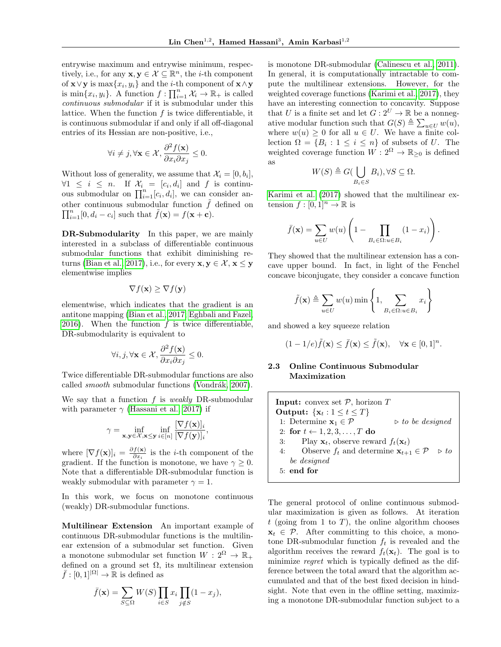entrywise maximum and entrywise minimum, respectively, i.e., for any  $\mathbf{x}, \mathbf{y} \in \mathcal{X} \subseteq \mathbb{R}^n$ , the *i*-th component of  $\mathbf{x} \vee \mathbf{y}$  is  $\max\{x_i, y_i\}$  and the *i*-th component of  $\mathbf{x} \wedge \mathbf{y}$ is  $\min\{x_i, y_i\}$ . A function  $f: \prod_{i=1}^n \mathcal{X}_i \to \mathbb{R}_+$  is called continuous submodular if it is submodular under this lattice. When the function  $f$  is twice differentiable, it is continuous submodular if and only if all off-diagonal entries of its Hessian are non-positive, i.e.,

$$
\forall i \neq j, \forall \mathbf{x} \in \mathcal{X}, \frac{\partial^2 f(\mathbf{x})}{\partial x_i \partial x_j} \leq 0.
$$

Without loss of generality, we assume that  $\mathcal{X}_i = [0, b_i],$  $\forall 1 \leq i \leq n$ . If  $\mathcal{X}_i = [c_i, d_i]$  and f is continuous submodular on  $\prod_{i=1}^{n} [c_i, d_i]$ , we can consider another continuous submodular function  $\tilde{f}$  defined on  $\prod_{i=1}^{n} [0, d_i - c_i]$  such that  $\tilde{f}(\mathbf{x}) = f(\mathbf{x} + \mathbf{c})$ .

DR-Submodularity In this paper, we are mainly interested in a subclass of differentiable continuous submodular functions that exhibit diminishing re-turns [\(Bian et al., 2017\)](#page-8-5), i.e., for every  $\mathbf{x}, \mathbf{y} \in \mathcal{X}, \mathbf{x} \leq \mathbf{y}$ elementwise implies

$$
\nabla f(\mathbf{x}) \geq \nabla f(\mathbf{y})
$$

elementwise, which indicates that the gradient is an antitone mapping [\(Bian et al., 2017;](#page-8-5) [Eghbali and Fazel,](#page-8-9) [2016\)](#page-8-9). When the function  $f$  is twice differentiable, DR-submodularity is equivalent to

$$
\forall i,j,\forall \mathbf{x} \in \mathcal{X}, \frac{\partial^2 f(\mathbf{x})}{\partial x_i \partial x_j} \leq 0.
$$

Twice differentiable DR-submodular functions are also called *smooth* submodular functions (Vondrák, 2007).

We say that a function  $f$  is *weakly* DR-submodular with parameter  $\gamma$  [\(Hassani et al., 2017\)](#page-8-6) if

$$
\gamma = \inf_{\mathbf{x}, \mathbf{y} \in \mathcal{X}, \mathbf{x} \leq \mathbf{y}} \inf_{i \in [n]} \frac{[\nabla f(\mathbf{x})]_i}{[\nabla f(\mathbf{y})]_i},
$$

where  $[\nabla f(\mathbf{x})]_i = \frac{\partial f(\mathbf{x})}{\partial x_i}$  $\frac{f(\mathbf{x})}{\partial x_i}$  is the *i*-th component of the gradient. If the function is monotone, we have  $\gamma \geq 0$ . Note that a differentiable DR-submodular function is weakly submodular with parameter  $\gamma = 1$ .

In this work, we focus on monotone continuous (weakly) DR-submodular functions.

Multilinear Extension An important example of continuous DR-submodular functions is the multilinear extension of a submodular set function. Given a monotone submodular set function  $W: 2^{\Omega} \to \mathbb{R}_+$ defined on a ground set  $\Omega$ , its multilinear extension  $\bar{f}: [0,1]^{|\Omega|} \to \mathbb{R}$  is defined as

$$
\bar{f}(\mathbf{x}) = \sum_{S \subseteq \Omega} W(S) \prod_{i \in S} x_i \prod_{j \notin S} (1 - x_j),
$$

is monotone DR-submodular [\(Calinescu et al., 2011\)](#page-8-10). In general, it is computationally intractable to compute the multilinear extensions. However, for the weighted coverage functions [\(Karimi et al., 2017\)](#page-8-11), they have an interesting connection to concavity. Suppose that U is a finite set and let  $G: 2^U \to \mathbb{R}$  be a nonnegative modular function such that  $G(S) \triangleq \sum_{u \in U} w(u)$ , where  $w(u) \geq 0$  for all  $u \in U$ . We have a finite collection  $\Omega = \{B_i : 1 \leq i \leq n\}$  of subsets of U. The weighted coverage function  $W: 2^{\Omega} \to \mathbb{R}_{\geq 0}$  is defined as

$$
W(S) \triangleq G(\bigcup_{B_i \in S} B_i), \forall S \subseteq \Omega.
$$

[Karimi et al.](#page-8-11) [\(2017\)](#page-8-11) showed that the multilinear extension  $f : [0, 1]^n \to \mathbb{R}$  is

$$
\bar{f}(\mathbf{x}) = \sum_{u \in U} w(u) \left( 1 - \prod_{B_i \in \Omega : u \in B_i} (1 - x_i) \right).
$$

They showed that the multilinear extension has a concave upper bound. In fact, in light of the Fenchel concave biconjugate, they consider a concave function

$$
\tilde{f}(\mathbf{x}) \triangleq \sum_{u \in U} w(u) \min \left\{ 1, \sum_{B_i \in \Omega: u \in B_i} x_i \right\}
$$

and showed a key squeeze relation

$$
(1 - 1/e)\tilde{f}(\mathbf{x}) \le \bar{f}(\mathbf{x}) \le \tilde{f}(\mathbf{x}), \quad \forall \mathbf{x} \in [0, 1]^n.
$$

#### 2.3 Online Continuous Submodular Maximization

**Input:** convex set  $P$ , horizon  $T$ Output:  $\{x_t: 1 \le t \le T\}$ 1: Determine  $\mathbf{x}_1 \in \mathcal{P}$  b to be designed 2: for  $t \leftarrow 1, 2, 3, \ldots, T$  do 3: Play  $\mathbf{x}_t$ , observe reward  $f_t(\mathbf{x}_t)$ 4: Observe  $f_t$  and determine  $\mathbf{x}_{t+1} \in \mathcal{P} \Rightarrow to$ be designed 5: end for

The general protocol of online continuous submodular maximization is given as follows. At iteration  $t$  (going from 1 to T), the online algorithm chooses  $x_t \in \mathcal{P}$ . After committing to this choice, a monotone DR-submodular function  $f_t$  is revealed and the algorithm receives the reward  $f_t(\mathbf{x}_t)$ . The goal is to minimize regret which is typically defined as the difference between the total award that the algorithm accumulated and that of the best fixed decision in hindsight. Note that even in the offline setting, maximizing a monotone DR-submodular function subject to a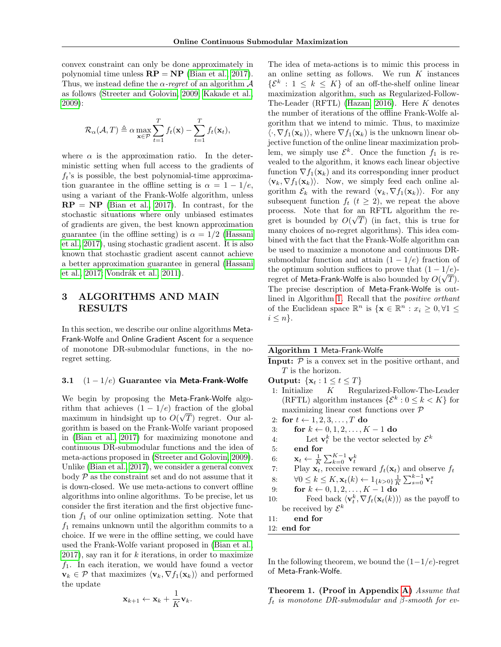convex constraint can only be done approximately in polynomial time unless  $\mathbf{RP} = \mathbf{NP}$  [\(Bian et al., 2017\)](#page-8-5). Thus, we instead define the  $\alpha$ -regret of an algorithm  $\mathcal A$ as follows [\(Streeter and Golovin, 2009;](#page-9-9) [Kakade et al.,](#page-8-12) [2009\)](#page-8-12):

$$
\mathcal{R}_{\alpha}(\mathcal{A}, T) \triangleq \alpha \max_{\mathbf{x} \in \mathcal{P}} \sum_{t=1}^{T} f_t(\mathbf{x}) - \sum_{t=1}^{T} f_t(\mathbf{x}_t),
$$

where  $\alpha$  is the approximation ratio. In the deterministic setting when full access to the gradients of  $f_t$ 's is possible, the best polynomial-time approximation guarantee in the offline setting is  $\alpha = 1 - 1/e$ , using a variant of the Frank-Wolfe algorithm, unless  $\mathbf{RP} = \mathbf{NP}$  [\(Bian et al., 2017\)](#page-8-5). In contrast, for the stochastic situations where only unbiased estimates of gradients are given, the best known approximation guarantee (in the offline setting) is  $\alpha = 1/2$  [\(Hassani](#page-8-6) [et al., 2017\)](#page-8-6), using stochastic gradient ascent. It is also known that stochastic gradient ascent cannot achieve a better approximation guarantee in general [\(Hassani](#page-8-6) [et al., 2017;](#page-8-6) Vondrák et al., 2011).

# 3 ALGORITHMS AND MAIN RESULTS

In this section, we describe our online algorithms Meta-Frank-Wolfe and Online Gradient Ascent for a sequence of monotone DR-submodular functions, in the noregret setting.

#### 3.1  $(1 - 1/e)$  Guarantee via Meta-Frank-Wolfe

We begin by proposing the Meta-Frank-Wolfe algorithm that achieves  $(1 - 1/e)$  fraction of the global maximum in hindsight up to  $O(\sqrt{T})$  regret. Our algorithm is based on the Frank-Wolfe variant proposed in [\(Bian et al., 2017\)](#page-8-5) for maximizing monotone and continuous DR-submodular functions and the idea of meta-actions proposed in [\(Streeter and Golovin, 2009\)](#page-9-9). Unlike [\(Bian et al., 2017\)](#page-8-5), we consider a general convex body  $P$  as the constraint set and do not assume that it is down-closed. We use meta-actions to convert offline algorithms into online algorithms. To be precise, let us consider the first iteration and the first objective function  $f_1$  of our online optimization setting. Note that  $f_1$  remains unknown until the algorithm commits to a choice. If we were in the offline setting, we could have used the Frank-Wolfe variant proposed in [\(Bian et al.,](#page-8-5)  $2017$ , say ran it for  $k$  iterations, in order to maximize  $f_1$ . In each iteration, we would have found a vector  $\mathbf{v}_k \in \mathcal{P}$  that maximizes  $\langle \mathbf{v}_k, \nabla f_1(\mathbf{x}_k)\rangle$  and performed the update

The idea of meta-actions is to mimic this process in  
an online setting as follows. We run K instances  

$$
\{\mathcal{E}^k : 1 \le k \le K\}
$$
 of an off-the-shelf online linear  
maximization algorithm, such as Regularized-Follow-  
The-Leader (RFTL) (Hazan, 2016). Here K denotes  
the number of iterations of the offline Frank-Wolfe al-  
gorithm that we intend to mimic. Thus, to maximize  
 $\langle \cdot, \nabla f_1(\mathbf{x}_k) \rangle$ , where  $\nabla f_1(\mathbf{x}_k)$  is the unknown linear ob-  
jective function of the online linear maximization prob-  
lem, we simply use  $\mathcal{E}^k$ . Once the function  $f_1$  is re-  
vealed to the algorithm, it knows each linear objective  
function  $\nabla f_1(\mathbf{x}_k)$  and its corresponding inner product  
 $\langle \mathbf{v}_k, \nabla f_1(\mathbf{x}_k) \rangle$ . Now, we simply feed each online al-  
gorithm  $\mathcal{E}_k$  with the reward  $\langle \mathbf{v}_k, \nabla f_1(\mathbf{x}_k) \rangle$ . For any  
subsequent function  $f_t$  ( $t \ge 2$ ), we repeat the above  
process. Note that for an RFTL algorithm the re-  
gret is bounded by  $O(\sqrt{T})$  (in fact, this is true for  
many choices of no-regret algorithms). This idea com-  
bined with the fact that the Frank-Wolfe algorithm can  
be used to maximize a monotone and continuous DR-  
submodular function and attain  $(1 - 1/e)$  fraction of  
the optimum solution suffices to prove that  $(1 - 1/e)$ -  
regret of Meta-Frank-Wolfe is also bounded by  $O(\sqrt{T})$ .  
The precise description of Meta-Frank-Wolfe is out-  
lined in Algorithm 1. Recall that the *positive orthant*  
of the Euclidean space  $\mathbb{R}^n$  is  $\{\mathbf{x} \in \mathbb{R}^n : x_i \ge 0, \forall 1 \le i \le n\}$ .

#### <span id="page-3-0"></span>Algorithm 1 Meta-Frank-Wolfe

- **Input:**  $P$  is a convex set in the positive orthant, and T is the horizon.
- Output:  $\{x_t: 1 \le t \le T\}$
- 1: Initialize K Regularized-Follow-The-Leader (RFTL) algorithm instances  $\{\mathcal{E}^k: 0 \leq k \leq K\}$  for maximizing linear cost functions over P
- 2: for  $t \leftarrow 1, 2, 3, \ldots, T$  do
- 3: for  $k \leftarrow 0, 1, 2, ..., K 1$  do
- 4: Let  $\mathbf{v}_t^k$  be the vector selected by  $\mathcal{E}^k$
- 5: end for
- 6:  $\mathbf{x}_t \leftarrow \frac{1}{K} \sum_{k=0}^{K-1} \mathbf{v}_t^k$
- 7: Play  $\mathbf{x}_t$ , receive reward  $f_t(\mathbf{x}_t)$  and observe  $f_t$
- 8:  $\forall 0 \leq k \leq K, \mathbf{x}_t(k) \leftarrow 1_{\{k > 0\}} \frac{1}{K} \sum_{s=0}^{k-1} \mathbf{v}_t^s$
- 9: **for**  $k \leftarrow 0, 1, 2, ..., K 1$  **do**
- 10: Feed back  $\langle \mathbf{v}_t^k, \nabla f_t(\mathbf{x}_t(k)) \rangle$  as the payoff to be received by  $\mathcal{E}^k$
- 11: end for
- 12: end for

In the following theorem, we bound the  $(1-1/e)$ -regret of Meta-Frank-Wolfe.

<span id="page-3-1"></span>Theorem 1. (Proof in Appendix [A\)](#page--1-0) Assume that  $f_t$  is monotone DR-submodular and  $\beta$ -smooth for ev-

$$
\mathbf{x}_{k+1} \leftarrow \mathbf{x}_k + \frac{1}{K} \mathbf{v}_k.
$$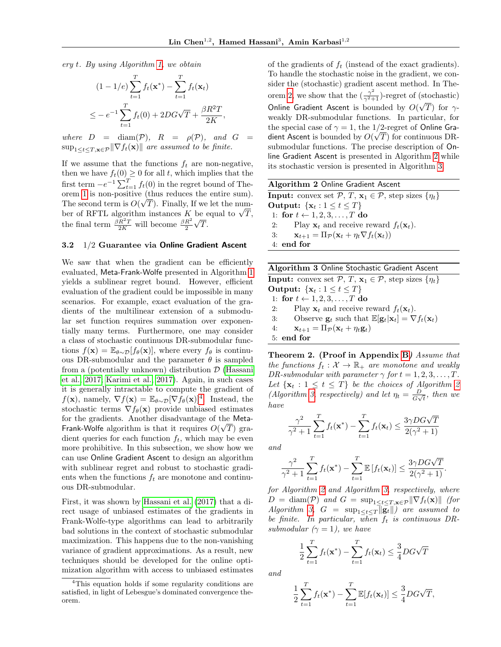,

ery t. By using Algorithm [1,](#page-3-0) we obtain

$$
(1 - 1/e) \sum_{t=1}^{T} f_t(\mathbf{x}^*) - \sum_{t=1}^{T} f_t(\mathbf{x}_t)
$$
  

$$
\leq -e^{-1} \sum_{t=1}^{T} f_t(0) + 2DG\sqrt{T} + \frac{\beta R^2 T}{2K}
$$

where  $D = \text{diam}(\mathcal{P})$ ,  $R = \rho(\mathcal{P})$ , and  $G =$  $\sup_{1 \leq t \leq T, \mathbf{x} \in \mathcal{P}} \|\nabla f_t(\mathbf{x})\|$  are assumed to be finite.

If we assume that the functions  $f_t$  are non-negative, then we have  $f_t(0) \geq 0$  for all t, which implies that the first term  $-e^{-1} \sum_{t=1}^{T} f_t(0)$  in the regret bound of The-orem [1](#page-3-1) is non-positive (thus reduces the entire sum). The second term is  $O(\sqrt{T})$ . Finally, If we let the num-The second term is  $O(\sqrt{T})$ . Finally, If we let the number of RFTL algorithm instances K be equal to  $\sqrt{T}$ , the final term  $\frac{\beta R^2 T}{2K}$  will become  $\frac{\beta R^2}{2}$ √ T.

#### <span id="page-4-0"></span>3.2 1/2 Guarantee via Online Gradient Ascent

We saw that when the gradient can be efficiently evaluated, Meta-Frank-Wolfe presented in Algorithm [1](#page-3-0) yields a sublinear regret bound. However, efficient evaluation of the gradient could be impossible in many scenarios. For example, exact evaluation of the gradients of the multilinear extension of a submodular set function requires summation over exponentially many terms. Furthermore, one may consider a class of stochastic continuous DR-submodular functions  $f(\mathbf{x}) = \mathbb{E}_{\theta \sim \mathcal{D}}[f_{\theta}(\mathbf{x})]$ , where every  $f_{\theta}$  is continuous DR-submodular and the parameter  $\theta$  is sampled from a (potentially unknown) distribution  $\mathcal D$  [\(Hassani](#page-8-6) [et al., 2017;](#page-8-6) [Karimi et al., 2017\)](#page-8-11). Again, in such cases it is generally intractable to compute the gradient of  $f(\mathbf{x})$ , namely,  $\nabla f(\mathbf{x}) = \mathbb{E}_{\theta \sim \mathcal{D}}[\nabla f_{\theta}(\mathbf{x})]^4$  $\nabla f(\mathbf{x}) = \mathbb{E}_{\theta \sim \mathcal{D}}[\nabla f_{\theta}(\mathbf{x})]^4$ . Instead, the stochastic terms  $\nabla f_{\theta}(\mathbf{x})$  provide unbiased estimates for the gradients. Another disadvantage of the Meta-Frank-Wolfe algorithm is that it requires  $O(\sqrt{T})$  gradient queries for each function  $f_t$ , which may be even more prohibitive. In this subsection, we show how we can use Online Gradient Ascent to design an algorithm with sublinear regret and robust to stochastic gradients when the functions  $f_t$  are monotone and continuous DR-submodular.

First, it was shown by [Hassani et al.](#page-8-6) [\(2017\)](#page-8-6) that a direct usage of unbiased estimates of the gradients in Frank-Wolfe-type algorithms can lead to arbitrarily bad solutions in the context of stochastic submodular maximization. This happens due to the non-vanishing variance of gradient approximations. As a result, new techniques should be developed for the online optimization algorithm with access to unbiased estimates of the gradients of  $f_t$  (instead of the exact gradients). To handle the stochastic noise in the gradient, we consider the (stochastic) gradient ascent method. In The-orem [2,](#page-4-2) we show that the  $(\frac{\gamma^2}{\gamma^2+1})$ -regret of (stochastic) Online Gradient Ascent is bounded by  $O(\sqrt{T})$  for  $\gamma$ weakly DR-submodular functions. In particular, for the special case of  $\gamma = 1$ , the 1/2-regret of Online Gradient Ascent is bounded by  $O(\sqrt{T})$  for continuous DRsubmodular functions. The precise description of Online Gradient Ascent is presented in Algorithm [2](#page-4-3) while its stochastic version is presented in Algorithm [3.](#page-4-4)

<span id="page-4-3"></span>

| Algorithm 2 Online Gradient Ascent                                                                |  |  |  |  |  |  |  |
|---------------------------------------------------------------------------------------------------|--|--|--|--|--|--|--|
| <b>Input:</b> convex set $\mathcal{P}, T, \mathbf{x}_1 \in \mathcal{P}$ , step sizes $\{\eta_t\}$ |  |  |  |  |  |  |  |

Output:  $\{x_t: 1 \le t \le T\}$ 1: for  $t \leftarrow 1, 2, 3, \ldots, T$  do 2: Play  $\mathbf{x}_t$  and receive reward  $f_t(\mathbf{x}_t)$ . 3:  $\mathbf{x}_{t+1} = \Pi_{\mathcal{P}}(\mathbf{x}_t + \eta_t \nabla f_t(\mathbf{x}_t))$ 4: end for

<span id="page-4-4"></span>Algorithm 3 Online Stochastic Gradient Ascent **Input:** convex set  $\mathcal{P}, T, \mathbf{x}_1 \in \mathcal{P}$ , step sizes  $\{\eta_t\}$ Output:  ${x_t : 1 \le t \le T}$ 1: for  $t \leftarrow 1, 2, 3, \ldots, T$  do 2: Play  $\mathbf{x}_t$  and receive reward  $f_t(\mathbf{x}_t)$ . 3: Observe  $\mathbf{g}_t$  such that  $\mathbb{E}[\mathbf{g}_t|\mathbf{x}_t] = \nabla f_t(\mathbf{x}_t)$ 4:  $\mathbf{x}_{t+1} = \Pi_{\mathcal{P}}(\mathbf{x}_t + \eta_t \mathbf{g}_t)$ 5: end for

<span id="page-4-2"></span>Theorem 2. (Proof in Appendix [B](#page--1-1)) Assume that the functions  $f_t : \mathcal{X} \to \mathbb{R}_+$  are monotone and weakly DR-submodular with parameter  $\gamma$  for  $t = 1, 2, 3, \ldots, T$ . Let  $\{x_t : 1 \le t \le T\}$  be the choices of Algorithm [2](#page-4-3) (Algorithm [3,](#page-4-4) respectively) and let  $\eta_t = \frac{D}{C_M}$  $\frac{D}{G\sqrt{t}}$ , then we have

$$
\frac{\gamma^2}{\gamma^2 + 1} \sum_{t=1}^T f_t(\mathbf{x}^*) - \sum_{t=1}^T f_t(\mathbf{x}_t) \le \frac{3\gamma DG\sqrt{T}}{2(\gamma^2 + 1)}
$$

and

$$
\frac{\gamma^2}{\gamma^2+1}\sum_{t=1}^T f_t(\mathbf{x}^*) - \sum_{t=1}^T \mathbb{E}\left[f_t(\mathbf{x}_t)\right] \le \frac{3\gamma DG\sqrt{T}}{2(\gamma^2+1)}.
$$

for Algorithm [2](#page-4-3) and Algorithm [3,](#page-4-4) respectively, where  $D = \text{diam}(\mathcal{P})$  and  $G = \sup_{1 \leq t \leq T, \mathbf{x} \in \mathcal{P}} \|\nabla f_t(\mathbf{x})\|$  (for Algorithm [3,](#page-4-4)  $G = \sup_{1 \leq t \leq T} ||\mathbf{g}_t||$  are assumed to be finite. In particular, when  $f_t$  is continuous DRsubmodular  $(\gamma = 1)$ , we have

$$
\frac{1}{2}\sum_{t=1}^{T}f_t(\mathbf{x}^*) - \sum_{t=1}^{T}f_t(\mathbf{x}_t) \le \frac{3}{4}DG\sqrt{T}
$$

and

$$
\frac{1}{2}\sum_{t=1}^T f_t(\mathbf{x}^*) - \sum_{t=1}^T \mathbb{E}[f_t(\mathbf{x}_t)] \leq \frac{3}{4}DG\sqrt{T},
$$

<span id="page-4-1"></span><sup>&</sup>lt;sup>4</sup>This equation holds if some regularity conditions are satisfied, in light of Lebesgue's dominated convergence theorem.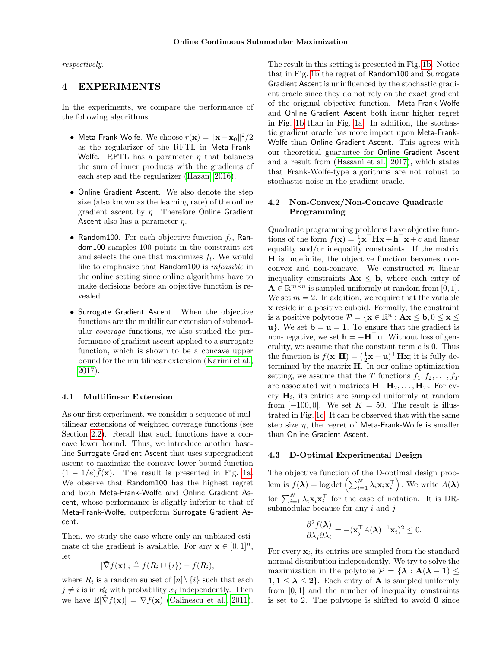respectively.

## 4 EXPERIMENTS

In the experiments, we compare the performance of the following algorithms:

- Meta-Frank-Wolfe. We choose  $r(\mathbf{x}) = \|\mathbf{x} \mathbf{x}_0\|^2/2$ as the regularizer of the RFTL in Meta-Frank-Wolfe. RFTL has a parameter  $\eta$  that balances the sum of inner products with the gradients of each step and the regularizer [\(Hazan, 2016\)](#page-8-0).
- Online Gradient Ascent. We also denote the step size (also known as the learning rate) of the online gradient ascent by  $\eta$ . Therefore Online Gradient Ascent also has a parameter  $\eta$ .
- Random100. For each objective function  $f_t$ , Random100 samples 100 points in the constraint set and selects the one that maximizes  $f_t$ . We would like to emphasize that Random100 is infeasible in the online setting since online algorithms have to make decisions before an objective function is revealed.
- Surrogate Gradient Ascent. When the objective functions are the multilinear extension of submodular coverage functions, we also studied the performance of gradient ascent applied to a surrogate function, which is shown to be a concave upper bound for the multilinear extension [\(Karimi et al.,](#page-8-11) [2017\)](#page-8-11).

#### 4.1 Multilinear Extension

As our first experiment, we consider a sequence of multilinear extensions of weighted coverage functions (see Section [2.2\)](#page-1-1). Recall that such functions have a concave lower bound. Thus, we introduce another baseline Surrogate Gradient Ascent that uses supergradient ascent to maximize the concave lower bound function  $(1 - 1/e)\bar{f}(\mathbf{x})$ . The result is presented in Fig. [1a.](#page-6-0) We observe that Random100 has the highest regret and both Meta-Frank-Wolfe and Online Gradient Ascent, whose performance is slightly inferior to that of Meta-Frank-Wolfe, outperform Surrogate Gradient Ascent.

Then, we study the case where only an unbiased estimate of the gradient is available. For any  $\mathbf{x} \in [0,1]^n$ , let

$$
[\tilde{\nabla} f(\mathbf{x})]_i \triangleq f(R_i \cup \{i\}) - f(R_i),
$$

where  $R_i$  is a random subset of  $[n] \setminus \{i\}$  such that each  $j \neq i$  is in  $R_i$  with probability  $x_j$  independently. Then we have  $\mathbb{E}[\nabla f(\mathbf{x})] = \nabla f(\mathbf{x})$  [\(Calinescu et al., 2011\)](#page-8-10).

The result in this setting is presented in Fig. [1b.](#page-6-0) Notice that in Fig. [1b](#page-6-0) the regret of Random100 and Surrogate Gradient Ascent is uninfluenced by the stochastic gradient oracle since they do not rely on the exact gradient of the original objective function. Meta-Frank-Wolfe and Online Gradient Ascent both incur higher regret in Fig. [1b](#page-6-0) than in Fig. [1a.](#page-6-0) In addition, the stochastic gradient oracle has more impact upon Meta-Frank-Wolfe than Online Gradient Ascent. This agrees with our theoretical guarantee for Online Gradient Ascent and a result from [\(Hassani et al., 2017\)](#page-8-6), which states that Frank-Wolfe-type algorithms are not robust to stochastic noise in the gradient oracle.

#### 4.2 Non-Convex/Non-Concave Quadratic Programming

Quadratic programming problems have objective functions of the form  $f(\mathbf{x}) = \frac{1}{2}\mathbf{x}^\top \mathbf{H}\mathbf{x} + \mathbf{h}^\top \mathbf{x} + c$  and linear equality and/or inequality constraints. If the matrix H is indefinite, the objective function becomes nonconvex and non-concave. We constructed m linear inequality constraints  $\mathbf{A}\mathbf{x} \leq \mathbf{b}$ , where each entry of  $\mathbf{A} \in \mathbb{R}^{m \times n}$  is sampled uniformly at random from [0, 1]. We set  $m = 2$ . In addition, we require that the variable x reside in a positive cuboid. Formally, the constraint is a positive polytope  $P = \{ \mathbf{x} \in \mathbb{R}^n : A \mathbf{x} \leq \mathbf{b}, 0 \leq \mathbf{x} \leq \mathbf{b} \}$  $u$ . We set  $b = u = 1$ . To ensure that the gradient is non-negative, we set  $\mathbf{h} = -\mathbf{H}^{\top}\mathbf{u}$ . Without loss of generality, we assume that the constant term  $c$  is 0. Thus the function is  $f(\mathbf{x}; \mathbf{H}) = (\frac{1}{2}\mathbf{x} - \mathbf{u})^{\top} \mathbf{H}\mathbf{x}$ ; it is fully determined by the matrix  $H$ . In our online optimization setting, we assume that the T functions  $f_1, f_2, \ldots, f_T$ are associated with matrices  $H_1, H_2, \ldots, H_T$ . For every  $H_i$ , its entries are sampled uniformly at random from  $[-100, 0]$ . We set  $K = 50$ . The result is illustrated in Fig. [1c.](#page-6-0) It can be observed that with the same step size  $\eta$ , the regret of Meta-Frank-Wolfe is smaller than Online Gradient Ascent.

#### 4.3 D-Optimal Experimental Design

The objective function of the D-optimal design problem is  $f(\boldsymbol{\lambda}) = \log \det \left( \sum_{i=1}^N \lambda_i \mathbf{x}_i \mathbf{x}_i^{\top} \right)$ . We write  $A(\boldsymbol{\lambda})$ for  $\sum_{i=1}^{N} \lambda_i \mathbf{x}_i \mathbf{x}_i^{\top}$  for the ease of notation. It is DRsubmodular because for any  $i$  and  $j$ 

$$
\frac{\partial^2 f(\boldsymbol{\lambda})}{\partial \lambda_j \partial \lambda_i} = -(\mathbf{x}_j^\top A(\boldsymbol{\lambda})^{-1} \mathbf{x}_i)^2 \leq 0.
$$

For every  $x_i$ , its entries are sampled from the standard normal distribution independently. We try to solve the maximization in the polytope  $\mathcal{P} = {\lambda : A(\lambda - 1) \leq \emptyset}$  $1, 1 \leq \lambda \leq 2$ . Each entry of **A** is sampled uniformly from [0, 1] and the number of inequality constraints is set to 2. The polytope is shifted to avoid  $\mathbf{0}$  since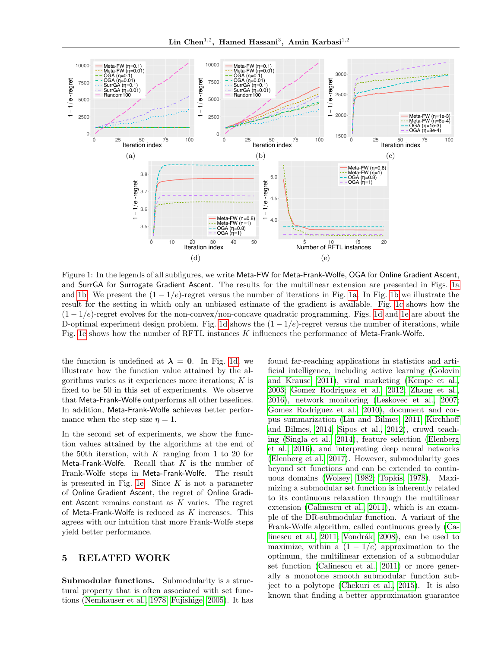<span id="page-6-0"></span>

Figure 1: In the legends of all subfigures, we write Meta-FW for Meta-Frank-Wolfe, OGA for Online Gradient Ascent, and SurrGA for Surrogate Gradient Ascent. The results for the multilinear extension are presented in Figs. [1a](#page-6-0) and [1b.](#page-6-0) We present the  $(1 - 1/e)$ -regret versus the number of iterations in Fig. [1a.](#page-6-0) In Fig. [1b](#page-6-0) we illustrate the result for the setting in which only an unbiased estimate of the gradient is available. Fig. [1c](#page-6-0) shows how the  $(1 - 1/e)$ -regret evolves for the non-convex/non-concave quadratic programming. Figs. [1d](#page-6-0) and [1e](#page-6-0) are about the D-optimal experiment design problem. Fig. [1d](#page-6-0) shows the  $(1 - 1/e)$ -regret versus the number of iterations, while Fig. [1e](#page-6-0) shows how the number of RFTL instances K influences the performance of Meta-Frank-Wolfe.

the function is undefined at  $\lambda = 0$ . In Fig. [1d,](#page-6-0) we illustrate how the function value attained by the algorithms varies as it experiences more iterations;  $K$  is fixed to be 50 in this set of experiments. We observe that Meta-Frank-Wolfe outperforms all other baselines. In addition, Meta-Frank-Wolfe achieves better performance when the step size  $\eta = 1$ .

In the second set of experiments, we show the function values attained by the algorithms at the end of the 50th iteration, with  $K$  ranging from 1 to 20 for Meta-Frank-Wolfe. Recall that  $K$  is the number of Frank-Wolfe steps in Meta-Frank-Wolfe. The result is presented in Fig. [1e.](#page-6-0) Since  $K$  is not a parameter of Online Gradient Ascent, the regret of Online Gradient Ascent remains constant as  $K$  varies. The regret of Meta-Frank-Wolfe is reduced as  $K$  increases. This agrees with our intuition that more Frank-Wolfe steps yield better performance.

# 5 RELATED WORK

Submodular functions. Submodularity is a structural property that is often associated with set functions [\(Nemhauser et al., 1978;](#page-9-6) [Fujishige, 2005\)](#page-8-7). It has

found far-reaching applications in statistics and artificial intelligence, including active learning [\(Golovin](#page-8-13) [and Krause, 2011\)](#page-8-13), viral marketing [\(Kempe et al.,](#page-8-14) [2003;](#page-8-14) [Gomez Rodriguez et al., 2012;](#page-8-15) [Zhang et al.,](#page-9-11) [2016\)](#page-9-11), network monitoring [\(Leskovec et al., 2007;](#page-9-12) [Gomez Rodriguez et al., 2010\)](#page-8-16), document and corpus summarization [\(Lin and Bilmes, 2011;](#page-9-13) [Kirchhoff](#page-8-17) [and Bilmes, 2014;](#page-8-17) [Sipos et al., 2012\)](#page-9-14), crowd teaching [\(Singla et al., 2014\)](#page-9-15), feature selection [\(Elenberg](#page-8-18) [et al., 2016\)](#page-8-18), and interpreting deep neural networks [\(Elenberg et al., 2017\)](#page-8-19). However, submodularity goes beyond set functions and can be extended to continuous domains [\(Wolsey, 1982;](#page-9-3) [Topkis, 1978\)](#page-9-5). Maximizing a submodular set function is inherently related to its continuous relaxation through the multilinear extension [\(Calinescu et al., 2011\)](#page-8-10), which is an example of the DR-submodular function. A variant of the Frank-Wolfe algorithm, called continuous greedy [\(Ca](#page-8-10)[linescu et al., 2011;](#page-8-10) Vondrák, 2008), can be used to maximize, within a  $(1 - 1/e)$  approximation to the optimum, the multilinear extension of a submodular set function [\(Calinescu et al., 2011\)](#page-8-10) or more generally a monotone smooth submodular function subject to a polytope [\(Chekuri et al., 2015\)](#page-8-4). It is also known that finding a better approximation guarantee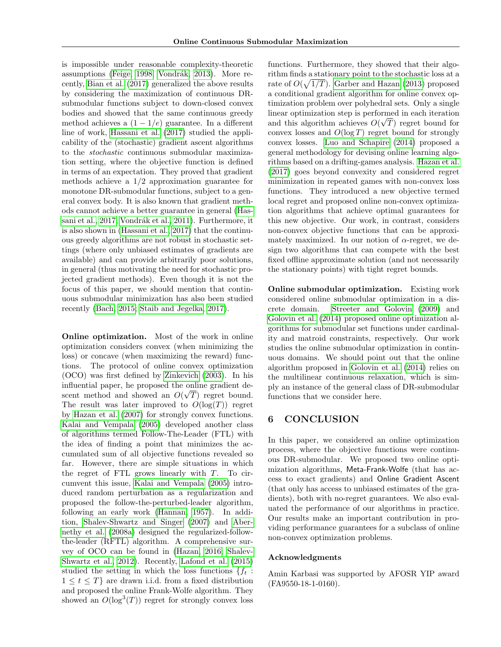is impossible under reasonable complexity-theoretic assumptions [\(Feige, 1998;](#page-8-20) Vondrák, 2013). More recently, [Bian et al.](#page-8-5) [\(2017\)](#page-8-5) generalized the above results by considering the maximization of continuous DRsubmodular functions subject to down-closed convex bodies and showed that the same continuous greedy method achieves a  $(1 - 1/e)$  guarantee. In a different line of work, [Hassani et al.](#page-8-6) [\(2017\)](#page-8-6) studied the applicability of the (stochastic) gradient ascent algorithms to the stochastic continuous submodular maximization setting, where the objective function is defined in terms of an expectation. They proved that gradient methods achieve a 1/2 approximation guarantee for monotone DR-submodular functions, subject to a general convex body. It is also known that gradient methods cannot achieve a better guarantee in general [\(Has](#page-8-6)[sani et al., 2017;](#page-8-6) Vondrák et al., 2011). Furthermore, it is also shown in [\(Hassani et al., 2017\)](#page-8-6) that the continuous greedy algorithms are not robust in stochastic settings (where only unbiased estimates of gradients are available) and can provide arbitrarily poor solutions, in general (thus motivating the need for stochastic projected gradient methods). Even though it is not the focus of this paper, we should mention that continuous submodular minimization has also been studied recently [\(Bach, 2015;](#page-8-3) [Staib and Jegelka, 2017\)](#page-9-18).

Online optimization. Most of the work in online optimization considers convex (when minimizing the loss) or concave (when maximizing the reward) functions. The protocol of online convex optimization (OCO) was first defined by [Zinkevich](#page-9-0) [\(2003\)](#page-9-0). In his influential paper, he proposed the online gradient descent method and showed an  $O(\sqrt{T})$  regret bound. The result was later improved to  $O(\log(T))$  regret by [Hazan et al.](#page-8-21) [\(2007\)](#page-8-21) for strongly convex functions. [Kalai and Vempala](#page-8-22) [\(2005\)](#page-8-22) developed another class of algorithms termed Follow-The-Leader (FTL) with the idea of finding a point that minimizes the accumulated sum of all objective functions revealed so far. However, there are simple situations in which the regret of FTL grows linearly with  $T$ . To circumvent this issue, [Kalai and Vempala](#page-8-22) [\(2005\)](#page-8-22) introduced random perturbation as a regularization and proposed the follow-the-perturbed-leader algorithm, following an early work [\(Hannan, 1957\)](#page-8-23). In addition, [Shalev-Shwartz and Singer](#page-9-1) [\(2007\)](#page-9-1) and [Aber](#page-8-24)[nethy et al.](#page-8-24) [\(2008a\)](#page-8-24) designed the regularized-followthe-leader (RFTL) algorithm. A comprehensive survey of OCO can be found in [\(Hazan, 2016;](#page-8-0) [Shalev-](#page-9-19)[Shwartz et al., 2012\)](#page-9-19). Recently, [Lafond et al.](#page-8-25) [\(2015\)](#page-8-25) studied the setting in which the loss functions  $\{f_t:$  $1 \leq t \leq T$  are drawn i.i.d. from a fixed distribution and proposed the online Frank-Wolfe algorithm. They showed an  $O(\log^3(T))$  regret for strongly convex loss

functions. Furthermore, they showed that their algorithm finds a stationary point to the stochastic loss at a rate of  $O(\sqrt{1/T})$ . [Garber and Hazan](#page-8-26) [\(2013\)](#page-8-26) proposed a conditional gradient algorithm for online convex optimization problem over polyhedral sets. Only a single linear optimization step is performed in each iteration and this algorithm achieves  $O(\sqrt{T})$  regret bound for convex losses and  $O(\log T)$  regret bound for strongly convex losses. [Luo and Schapire](#page-9-20) [\(2014\)](#page-9-20) proposed a general methodology for devising online learning algorithms based on a drifting-games analysis. [Hazan et al.](#page-8-2) [\(2017\)](#page-8-2) goes beyond convexity and considered regret minimization in repeated games with non-convex loss functions. They introduced a new objective termed local regret and proposed online non-convex optimization algorithms that achieve optimal guarantees for this new objective. Our work, in contrast, considers non-convex objective functions that can be approximately maximized. In our notion of  $\alpha$ -regret, we design two algorithms that can compete with the best fixed offline approximate solution (and not necessarily the stationary points) with tight regret bounds.

Online submodular optimization. Existing work considered online submodular optimization in a discrete domain. [Streeter and Golovin](#page-9-9) [\(2009\)](#page-9-9) and [Golovin et al.](#page-8-27) [\(2014\)](#page-8-27) proposed online optimization algorithms for submodular set functions under cardinality and matroid constraints, respectively. Our work studies the online submodular optimization in continuous domains. We should point out that the online algorithm proposed in [Golovin et al.](#page-8-27) [\(2014\)](#page-8-27) relies on the multilinear continuous relaxation, which is simply an instance of the general class of DR-submodular functions that we consider here.

## 6 CONCLUSION

In this paper, we considered an online optimization process, where the objective functions were continuous DR-submodular. We proposed two online optimization algorithms, Meta-Frank-Wolfe (that has access to exact gradients) and Online Gradient Ascent (that only has access to unbiased estimates of the gradients), both with no-regret guarantees. We also evaluated the performance of our algorithms in practice. Our results make an important contribution in providing performance guarantees for a subclass of online non-convex optimization problems.

#### Acknowledgments

Amin Karbasi was supported by AFOSR YIP award (FA9550-18-1-0160).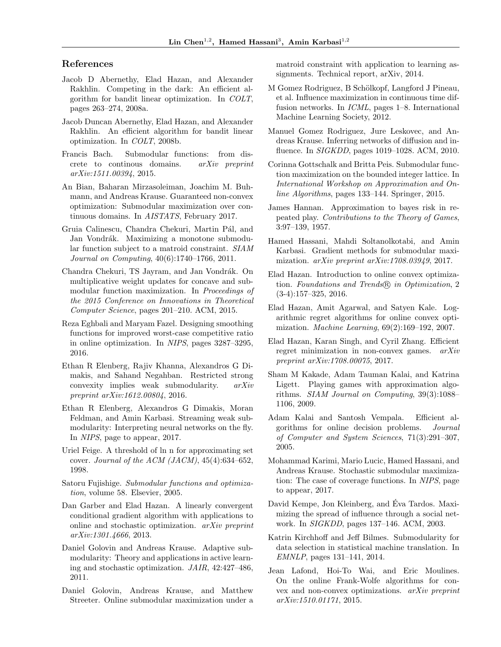### References

- <span id="page-8-24"></span>Jacob D Abernethy, Elad Hazan, and Alexander Rakhlin. Competing in the dark: An efficient algorithm for bandit linear optimization. In COLT, pages 263–274, 2008a.
- <span id="page-8-1"></span>Jacob Duncan Abernethy, Elad Hazan, and Alexander Rakhlin. An efficient algorithm for bandit linear optimization. In COLT, 2008b.
- <span id="page-8-3"></span>Francis Bach. Submodular functions: from discrete to continous domains. arXiv preprint arXiv:1511.00394, 2015.
- <span id="page-8-5"></span>An Bian, Baharan Mirzasoleiman, Joachim M. Buhmann, and Andreas Krause. Guaranteed non-convex optimization: Submodular maximization over continuous domains. In AISTATS, February 2017.
- <span id="page-8-10"></span>Gruia Calinescu, Chandra Chekuri, Martin Pál, and Jan Vondrák. Maximizing a monotone submodular function subject to a matroid constraint. SIAM Journal on Computing, 40(6):1740–1766, 2011.
- <span id="page-8-4"></span>Chandra Chekuri, TS Jayram, and Jan Vondrák. On multiplicative weight updates for concave and submodular function maximization. In Proceedings of the 2015 Conference on Innovations in Theoretical Computer Science, pages 201–210. ACM, 2015.
- <span id="page-8-9"></span>Reza Eghbali and Maryam Fazel. Designing smoothing functions for improved worst-case competitive ratio in online optimization. In NIPS, pages 3287–3295, 2016.
- <span id="page-8-18"></span>Ethan R Elenberg, Rajiv Khanna, Alexandros G Dimakis, and Sahand Negahban. Restricted strong convexity implies weak submodularity. arXiv preprint arXiv:1612.00804, 2016.
- <span id="page-8-19"></span>Ethan R Elenberg, Alexandros G Dimakis, Moran Feldman, and Amin Karbasi. Streaming weak submodularity: Interpreting neural networks on the fly. In NIPS, page to appear, 2017.
- <span id="page-8-20"></span>Uriel Feige. A threshold of ln n for approximating set cover. Journal of the ACM (JACM),  $45(4):634-652$ , 1998.
- <span id="page-8-7"></span>Satoru Fujishige. Submodular functions and optimization, volume 58. Elsevier, 2005.
- <span id="page-8-26"></span>Dan Garber and Elad Hazan. A linearly convergent conditional gradient algorithm with applications to online and stochastic optimization. arXiv preprint arXiv:1301.4666, 2013.
- <span id="page-8-13"></span>Daniel Golovin and Andreas Krause. Adaptive submodularity: Theory and applications in active learning and stochastic optimization. JAIR, 42:427–486, 2011.
- <span id="page-8-27"></span>Daniel Golovin, Andreas Krause, and Matthew Streeter. Online submodular maximization under a

matroid constraint with application to learning assignments. Technical report, arXiv, 2014.

- <span id="page-8-15"></span>M Gomez Rodriguez, B Schölkopf, Langford J Pineau, et al. Influence maximization in continuous time diffusion networks. In ICML, pages 1–8. International Machine Learning Society, 2012.
- <span id="page-8-16"></span>Manuel Gomez Rodriguez, Jure Leskovec, and Andreas Krause. Inferring networks of diffusion and influence. In SIGKDD, pages 1019–1028. ACM, 2010.
- <span id="page-8-8"></span>Corinna Gottschalk and Britta Peis. Submodular function maximization on the bounded integer lattice. In International Workshop on Approximation and Online Algorithms, pages 133–144. Springer, 2015.
- <span id="page-8-23"></span>James Hannan. Approximation to bayes risk in repeated play. Contributions to the Theory of Games, 3:97–139, 1957.
- <span id="page-8-6"></span>Hamed Hassani, Mahdi Soltanolkotabi, and Amin Karbasi. Gradient methods for submodular maximization. arXiv preprint arXiv:1708.03949, 2017.
- <span id="page-8-0"></span>Elad Hazan. Introduction to online convex optimization. Foundations and Trends (R) in Optimization, 2 (3-4):157–325, 2016.
- <span id="page-8-21"></span>Elad Hazan, Amit Agarwal, and Satyen Kale. Logarithmic regret algorithms for online convex optimization. Machine Learning, 69(2):169–192, 2007.
- <span id="page-8-2"></span>Elad Hazan, Karan Singh, and Cyril Zhang. Efficient regret minimization in non-convex games. arXiv preprint arXiv:1708.00075, 2017.
- <span id="page-8-12"></span>Sham M Kakade, Adam Tauman Kalai, and Katrina Ligett. Playing games with approximation algorithms. SIAM Journal on Computing, 39(3):1088– 1106, 2009.
- <span id="page-8-22"></span>Adam Kalai and Santosh Vempala. Efficient algorithms for online decision problems. Journal of Computer and System Sciences, 71(3):291–307, 2005.
- <span id="page-8-11"></span>Mohammad Karimi, Mario Lucic, Hamed Hassani, and Andreas Krause. Stochastic submodular maximization: The case of coverage functions. In NIPS, page to appear, 2017.
- <span id="page-8-14"></span>David Kempe, Jon Kleinberg, and Éva Tardos. Maximizing the spread of influence through a social network. In SIGKDD, pages 137–146. ACM, 2003.
- <span id="page-8-17"></span>Katrin Kirchhoff and Jeff Bilmes. Submodularity for data selection in statistical machine translation. In EMNLP, pages 131–141, 2014.
- <span id="page-8-25"></span>Jean Lafond, Hoi-To Wai, and Eric Moulines. On the online Frank-Wolfe algorithms for convex and non-convex optimizations. arXiv preprint arXiv:1510.01171, 2015.